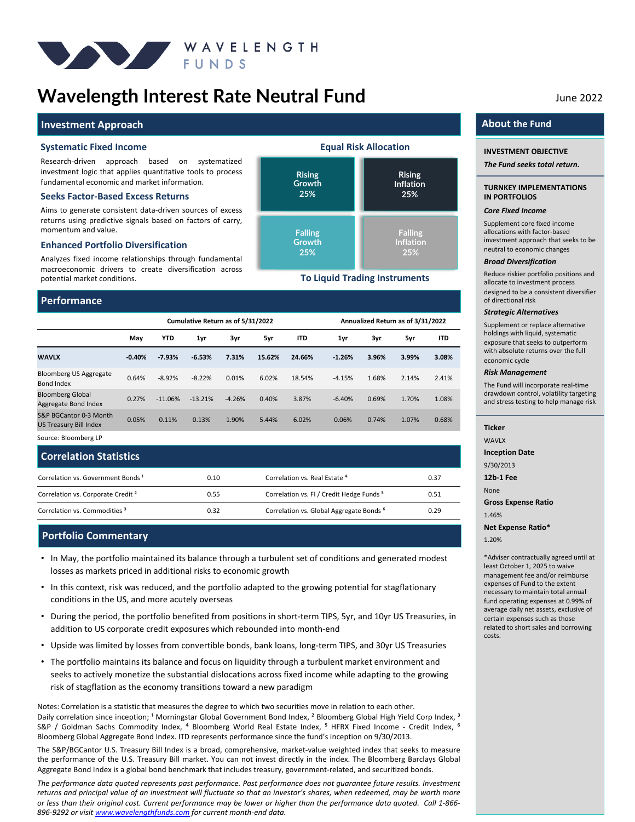

## **Wavelength Interest Rate Neutral Fund** June 2022

#### **Investment Approach**

#### **Systematic Fixed Income**

Research-driven approach based on systematized investment logic that applies quantitative tools to process fundamental economic and market information.

#### **Seeks Factor-Based Excess Returns**

Aims to generate consistent data-driven sources of excess returns using predictive signals based on factors of carry, momentum and value.

#### **Enhanced Portfolio Diversification**

Analyzes fixed income relationships through fundamental macroeconomic drivers to create diversification across potential market conditions.

#### **Performance**

|                                                  |          |            | Cumulative Return as of 5/31/2022 |          |        |            |          |       | Annualized Return as of 3/31/2022 |            |
|--------------------------------------------------|----------|------------|-----------------------------------|----------|--------|------------|----------|-------|-----------------------------------|------------|
|                                                  | May      | <b>YTD</b> | 1yr                               | 3yr      | 5yr    | <b>ITD</b> | 1yr      | 3yr   | 5yr                               | <b>ITD</b> |
| <b>WAVLX</b>                                     | $-0.40%$ | $-7.93%$   | $-6.53%$                          | 7.31%    | 15.62% | 24.66%     | $-1.26%$ | 3.96% | 3.99%                             | 3.08%      |
| Bloomberg US Aggregate<br>Bond Index             | 0.64%    | $-8.92%$   | $-8.22%$                          | 0.01%    | 6.02%  | 18.54%     | $-4.15%$ | 1.68% | 2.14%                             | 2.41%      |
| <b>Bloomberg Global</b><br>Aggregate Bond Index  | 0.27%    | $-11.06%$  | $-13.21%$                         | $-4.26%$ | 0.40%  | 3.87%      | $-6.40%$ | 0.69% | 1.70%                             | 1.08%      |
| S&P BGCantor 0-3 Month<br>US Treasury Bill Index | 0.05%    | 0.11%      | 0.13%                             | 1.90%    | 5.44%  | 6.02%      | 0.06%    | 0.74% | 1.07%                             | 0.68%      |

**Rising Growth 25%**

**Falling Growth 25%**

**Rising Inflation 25%**

**Equal Risk Allocation**

**To Liquid Trading Instruments**

**Falling Inflation 25%**

Source: Bloomberg LP

| <b>Correlation Statistics</b>                 |      |                                                      |      |
|-----------------------------------------------|------|------------------------------------------------------|------|
| Correlation vs. Government Bonds <sup>1</sup> | 0.10 | Correlation vs. Real Estate 4                        | 0.37 |
| Correlation vs. Corporate Credit <sup>2</sup> | 0.55 | Correlation vs. FI / Credit Hedge Funds <sup>5</sup> | 0.51 |
| Correlation vs. Commodities <sup>3</sup>      | 0.32 | Correlation vs. Global Aggregate Bonds <sup>6</sup>  | 0.29 |

#### **Portfolio Commentary**

- In May, the portfolio maintained its balance through a turbulent set of conditions and generated modest losses as markets priced in additional risks to economic growth
- In this context, risk was reduced, and the portfolio adapted to the growing potential for stagflationary conditions in the US, and more acutely overseas
- During the period, the portfolio benefited from positions in short-term TIPS, 5yr, and 10yr US Treasuries, in addition to US corporate credit exposures which rebounded into month-end
- Upside was limited by losses from convertible bonds, bank loans, long-term TIPS, and 30yr US Treasuries
- The portfolio maintains its balance and focus on liquidity through a turbulent market environment and seeks to actively monetize the substantial dislocations across fixed income while adapting to the growing risk of stagflation as the economy transitions toward a new paradigm

Notes: Correlation is a statistic that measures the degree to which two securities move in relation to each other. Daily correlation since inception; <sup>1</sup> Morningstar Global Government Bond Index, <sup>2</sup> Bloomberg Global High Yield Corp Index, <sup>3</sup> S&P / Goldman Sachs Commodity Index, <sup>4</sup> Bloomberg World Real Estate Index, <sup>5</sup> HFRX Fixed Income - Credit Index, <sup>6</sup> Bloomberg Global Aggregate Bond Index. ITD represents performance since the fund's inception on 9/30/2013.

The S&P/BGCantor U.S. Treasury Bill Index is a broad, comprehensive, market-value weighted index that seeks to measure the performance of the U.S. Treasury Bill market. You can not invest directly in the index. The Bloomberg Barclays Global Aggregate Bond Index is a global bond benchmark that includes treasury, government-related, and securitized bonds.

*The performance data quoted represents past performance. Past performance does not guarantee future results. Investment* returns and principal value of an investment will fluctuate so that an investor's shares, when redeemed, may be worth more or less than their original cost. Current performance may be lower or higher than the performance data quoted. Call 1-866-*896-9292 or visit [www.wavelengthfunds.com](http://www.wavelengthfunds.com/) for current month-end data.*

#### **About the Fund**

#### **INVESTMENT OBJECTIVE**

*The Fund seeks total return.*

#### **TURNKEY IMPLEMENTATIONS IN PORTFOLIOS**

#### *Core Fixed Income*

Supplement core fixed income allocations with factor-based investment approach that seeks to be neutral to economic changes

#### *Broad Diversification*

Reduce riskier portfolio positions and allocate to investment process designed to be a consistent diversifier of directional risk

#### *Strategic Alternatives*

Supplement or replace alternative holdings with liquid, systematic exposure that seeks to outperform with absolute returns over the full economic cycle

#### *Risk Management*

The Fund will incorporate real-time drawdown control, volatility targeting and stress testing to help manage risk

#### **Ticker**

WAVI X

**Inception Date**

9/30/2013

**12b-1 Fee**

None

**Gross Expense Ratio**

1.46%

**Net Expense Ratio\***

1.20%

\*Adviser contractually agreed until at least October 1, 2025 to waive management fee and/or reimburse expenses of Fund to the extent necessary to maintain total annual fund operating expenses at 0.99% of average daily net assets, exclusive of certain expenses such as those related to short sales and borrowing costs.